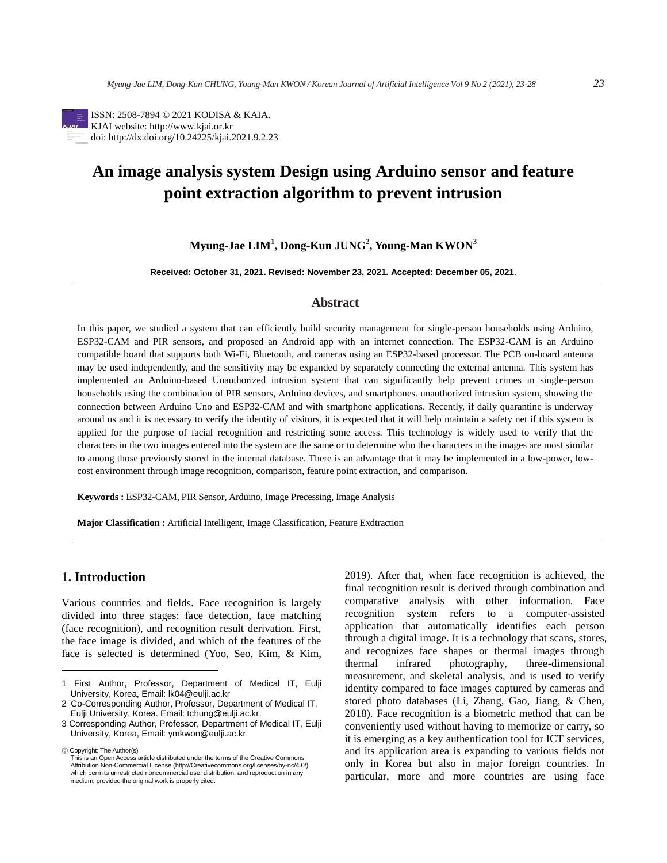

ISSN: 2508-7894 © 2021 KODISA & KAIA. KJAI website: http://www.kjai.or.kr doi: http://dx.doi.org/10.24225/kjai.2021.9.2.23

# **An image analysis system Design using Arduino sensor and feature point extraction algorithm to prevent intrusion**

**Myung-Jae LIM<sup>1</sup> , Dong-Kun JUNG<sup>2</sup> , Young-Man KWON<sup>3</sup>**

**Received: October 31, 2021. Revised: November 23, 2021. Accepted: December 05, 2021**.

# **Abstract**

In this paper, we studied a system that can efficiently build security management for single-person households using Arduino, ESP32-CAM and PIR sensors, and proposed an Android app with an internet connection. The ESP32-CAM is an Arduino compatible board that supports both Wi-Fi, Bluetooth, and cameras using an ESP32-based processor. The PCB on-board antenna may be used independently, and the sensitivity may be expanded by separately connecting the external antenna. This system has implemented an Arduino-based Unauthorized intrusion system that can significantly help prevent crimes in single-person households using the combination of PIR sensors, Arduino devices, and smartphones. unauthorized intrusion system, showing the connection between Arduino Uno and ESP32-CAM and with smartphone applications. Recently, if daily quarantine is underway around us and it is necessary to verify the identity of visitors, it is expected that it will help maintain a safety net if this system is applied for the purpose of facial recognition and restricting some access. This technology is widely used to verify that the characters in the two images entered into the system are the same or to determine who the characters in the images are most similar to among those previously stored in the internal database. There is an advantage that it may be implemented in a low-power, lowcost environment through image recognition, comparison, feature point extraction, and comparison.

**Keywords :** ESP32-CAM, PIR Sensor, Arduino, Image Precessing, Image Analysis

**Major Classification :** Artificial Intelligent, Image Classification, Feature Exdtraction

# **1. Introduction**

Various countries and fields. Face recognition is largely divided into three stages: face detection, face matching (face recognition), and recognition result derivation. First, the face image is divided, and which of the features of the face is selected is determined (Yoo, Seo, Kim, & Kim,

ⓒ Copyright: The Author(s)

2019). After that, when face recognition is achieved, the final recognition result is derived through combination and comparative analysis with other information. Face recognition system refers to a computer-assisted application that automatically identifies each person through a digital image. It is a technology that scans, stores, and recognizes face shapes or thermal images through thermal infrared photography, three-dimensional measurement, and skeletal analysis, and is used to verify identity compared to face images captured by cameras and stored photo databases (Li, Zhang, Gao, Jiang, & Chen, 2018). Face recognition is a biometric method that can be conveniently used without having to memorize or carry, so it is emerging as a key authentication tool for ICT services, and its application area is expanding to various fields not only in Korea but also in major foreign countries. In particular, more and more countries are using face

<sup>1</sup> First Author, Professor, Department of Medical IT, Eulji University, Korea, Email: lk04@eulji.ac.kr

<sup>2</sup> Co-Corresponding Author, Professor, Department of Medical IT, Eulji University, Korea. Email: tchung@eulji.ac.kr.

<sup>3</sup> Corresponding Author, Professor, Department of Medical IT, Eulji University, Korea, Email: ymkwon@eulji.ac.kr

This is an Open Access article distributed under the terms of the Creative Commons Attribution Non-Commercial License (http://Creativecommons.org/licenses/by-nc/4.0/) which permits unrestricted noncommercial use, distribution, and reproduction in any medium, provided the original work is properly cited.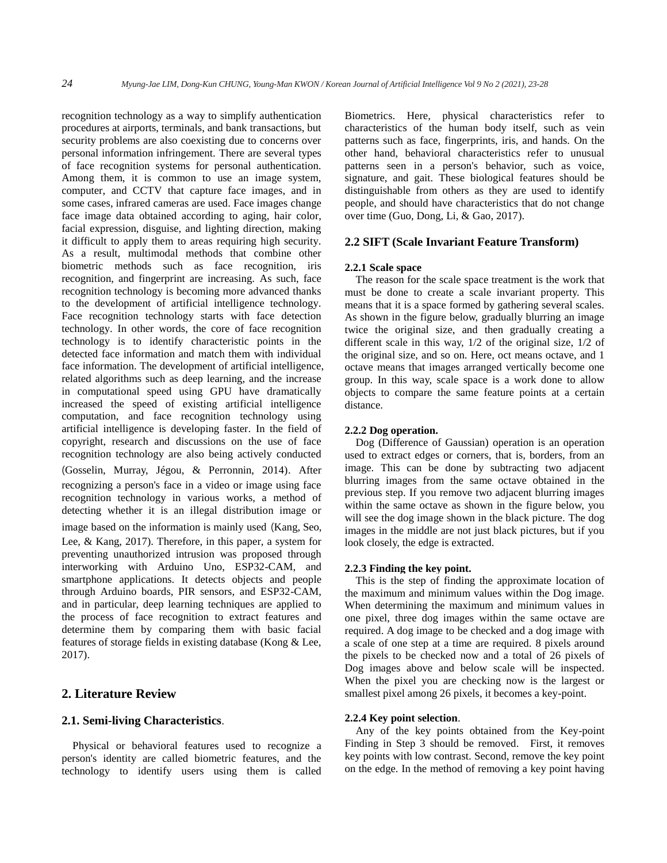recognition technology as a way to simplify authentication procedures at airports, terminals, and bank transactions, but security problems are also coexisting due to concerns over personal information infringement. There are several types of face recognition systems for personal authentication. Among them, it is common to use an image system, computer, and CCTV that capture face images, and in some cases, infrared cameras are used. Face images change face image data obtained according to aging, hair color, facial expression, disguise, and lighting direction, making it difficult to apply them to areas requiring high security. As a result, multimodal methods that combine other biometric methods such as face recognition, iris recognition, and fingerprint are increasing. As such, face recognition technology is becoming more advanced thanks to the development of artificial intelligence technology. Face recognition technology starts with face detection technology. In other words, the core of face recognition technology is to identify characteristic points in the detected face information and match them with individual face information. The development of artificial intelligence, related algorithms such as deep learning, and the increase in computational speed using GPU have dramatically increased the speed of existing artificial intelligence computation, and face recognition technology using artificial intelligence is developing faster. In the field of copyright, research and discussions on the use of face recognition technology are also being actively conducted (Gosselin, Murray, Jégou, & Perronnin, 2014). After recognizing a person's face in a video or image using face recognition technology in various works, a method of detecting whether it is an illegal distribution image or image based on the information is mainly used (Kang, Seo, Lee, & Kang, 2017). Therefore, in this paper, a system for preventing unauthorized intrusion was proposed through interworking with Arduino Uno, ESP32-CAM, and smartphone applications. It detects objects and people through Arduino boards, PIR sensors, and ESP32-CAM, and in particular, deep learning techniques are applied to the process of face recognition to extract features and determine them by comparing them with basic facial features of storage fields in existing database (Kong & Lee, 2017).

# **2. Literature Review**

## **2.1. Semi-living Characteristics**.

Physical or behavioral features used to recognize a person's identity are called biometric features, and the technology to identify users using them is called Biometrics. Here, physical characteristics refer to characteristics of the human body itself, such as vein patterns such as face, fingerprints, iris, and hands. On the other hand, behavioral characteristics refer to unusual patterns seen in a person's behavior, such as voice, signature, and gait. These biological features should be distinguishable from others as they are used to identify people, and should have characteristics that do not change over time (Guo, Dong, Li, & Gao, 2017).

## **2.2 SIFT (Scale Invariant Feature Transform)**

#### **2.2.1 Scale space**

The reason for the scale space treatment is the work that must be done to create a scale invariant property. This means that it is a space formed by gathering several scales. As shown in the figure below, gradually blurring an image twice the original size, and then gradually creating a different scale in this way, 1/2 of the original size, 1/2 of the original size, and so on. Here, oct means octave, and 1 octave means that images arranged vertically become one group. In this way, scale space is a work done to allow objects to compare the same feature points at a certain distance.

#### **2.2.2 Dog operation.**

Dog (Difference of Gaussian) operation is an operation used to extract edges or corners, that is, borders, from an image. This can be done by subtracting two adjacent blurring images from the same octave obtained in the previous step. If you remove two adjacent blurring images within the same octave as shown in the figure below, you will see the dog image shown in the black picture. The dog images in the middle are not just black pictures, but if you look closely, the edge is extracted.

### **2.2.3 Finding the key point.**

This is the step of finding the approximate location of the maximum and minimum values within the Dog image. When determining the maximum and minimum values in one pixel, three dog images within the same octave are required. A dog image to be checked and a dog image with a scale of one step at a time are required. 8 pixels around the pixels to be checked now and a total of 26 pixels of Dog images above and below scale will be inspected. When the pixel you are checking now is the largest or smallest pixel among 26 pixels, it becomes a key-point.

## **2.2.4 Key point selection**.

Any of the key points obtained from the Key-point Finding in Step 3 should be removed. First, it removes key points with low contrast. Second, remove the key point on the edge. In the method of removing a key point having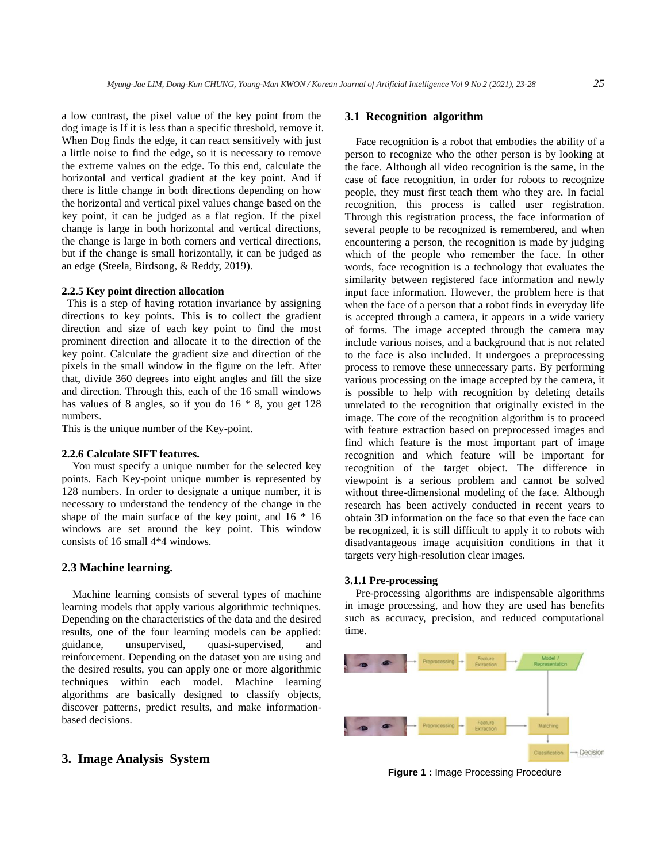a low contrast, the pixel value of the key point from the dog image is If it is less than a specific threshold, remove it. When Dog finds the edge, it can react sensitively with just a little noise to find the edge, so it is necessary to remove the extreme values on the edge. To this end, calculate the horizontal and vertical gradient at the key point. And if there is little change in both directions depending on how the horizontal and vertical pixel values change based on the key point, it can be judged as a flat region. If the pixel change is large in both horizontal and vertical directions, the change is large in both corners and vertical directions, but if the change is small horizontally, it can be judged as an edge (Steela, Birdsong, & Reddy, 2019).

#### **2.2.5 Key point direction allocation**

This is a step of having rotation invariance by assigning directions to key points. This is to collect the gradient direction and size of each key point to find the most prominent direction and allocate it to the direction of the key point. Calculate the gradient size and direction of the pixels in the small window in the figure on the left. After that, divide 360 degrees into eight angles and fill the size and direction. Through this, each of the 16 small windows has values of 8 angles, so if you do 16 \* 8, you get 128 numbers.

This is the unique number of the Key-point.

#### **2.2.6 Calculate SIFT features.**

You must specify a unique number for the selected key points. Each Key-point unique number is represented by 128 numbers. In order to designate a unique number, it is necessary to understand the tendency of the change in the shape of the main surface of the key point, and 16 \* 16 windows are set around the key point. This window consists of 16 small 4\*4 windows.

#### **2.3 Machine learning.**

Machine learning consists of several types of machine learning models that apply various algorithmic techniques. Depending on the characteristics of the data and the desired results, one of the four learning models can be applied: guidance, unsupervised, quasi-supervised, and reinforcement. Depending on the dataset you are using and the desired results, you can apply one or more algorithmic techniques within each model. Machine learning algorithms are basically designed to classify objects, discover patterns, predict results, and make informationbased decisions.

## **3. Image Analysis System**

## **3.1 Recognition algorithm**

Face recognition is a robot that embodies the ability of a person to recognize who the other person is by looking at the face. Although all video recognition is the same, in the case of face recognition, in order for robots to recognize people, they must first teach them who they are. In facial recognition, this process is called user registration. Through this registration process, the face information of several people to be recognized is remembered, and when encountering a person, the recognition is made by judging which of the people who remember the face. In other words, face recognition is a technology that evaluates the similarity between registered face information and newly input face information. However, the problem here is that when the face of a person that a robot finds in everyday life is accepted through a camera, it appears in a wide variety of forms. The image accepted through the camera may include various noises, and a background that is not related to the face is also included. It undergoes a preprocessing process to remove these unnecessary parts. By performing various processing on the image accepted by the camera, it is possible to help with recognition by deleting details unrelated to the recognition that originally existed in the image. The core of the recognition algorithm is to proceed with feature extraction based on preprocessed images and find which feature is the most important part of image recognition and which feature will be important for recognition of the target object. The difference in viewpoint is a serious problem and cannot be solved without three-dimensional modeling of the face. Although research has been actively conducted in recent years to obtain 3D information on the face so that even the face can be recognized, it is still difficult to apply it to robots with disadvantageous image acquisition conditions in that it targets very high-resolution clear images.

#### **3.1.1 Pre-processing**

Pre-processing algorithms are indispensable algorithms in image processing, and how they are used has benefits such as accuracy, precision, and reduced computational time.



**Figure 1 :** Image Processing Procedure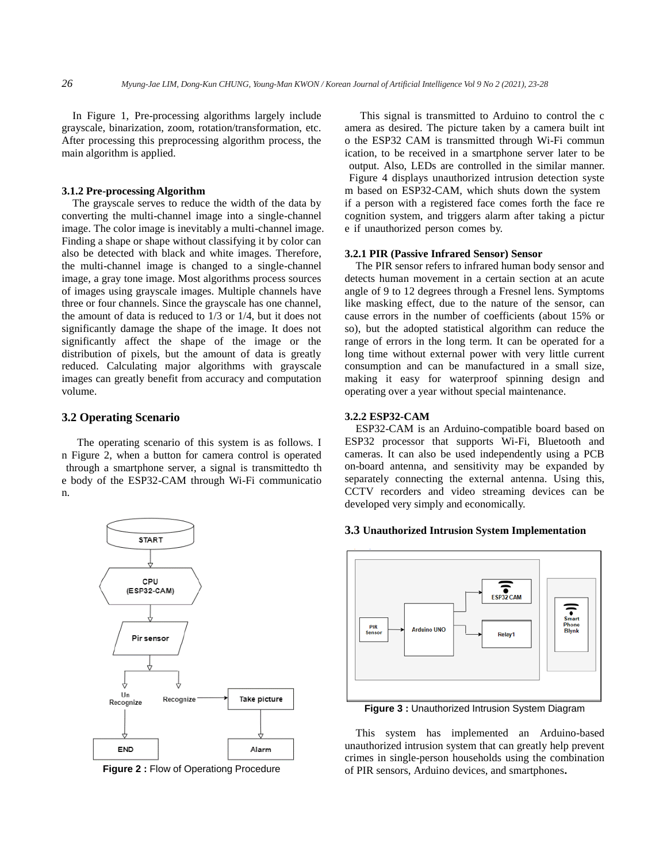In Figure 1, Pre-processing algorithms largely include grayscale, binarization, zoom, rotation/transformation, etc. After processing this preprocessing algorithm process, the main algorithm is applied.

## **3.1.2 Pre-processing Algorithm**

The grayscale serves to reduce the width of the data by converting the multi-channel image into a single-channel image. The color image is inevitably a multi-channel image. Finding a shape or shape without classifying it by color can also be detected with black and white images. Therefore, the multi-channel image is changed to a single-channel image, a gray tone image. Most algorithms process sources of images using grayscale images. Multiple channels have three or four channels. Since the grayscale has one channel, the amount of data is reduced to 1/3 or 1/4, but it does not significantly damage the shape of the image. It does not significantly affect the shape of the image or the distribution of pixels, but the amount of data is greatly reduced. Calculating major algorithms with grayscale images can greatly benefit from accuracy and computation volume.

#### **3.2 Operating Scenario**

The operating scenario of this system is as follows. I n Figure 2, when a button for camera control is operated through a smartphone server, a signal is transmittedto th e body of the ESP32-CAM through Wi-Fi communicatio n.



**Figure 2 :** Flow of Operationg Procedure

This signal is transmitted to Arduino to control the c amera as desired. The picture taken by a camera built int o the ESP32 CAM is transmitted through Wi-Fi commun ication, to be received in a smartphone server later to be output. Also, LEDs are controlled in the similar manner. Figure 4 displays unauthorized intrusion detection syste m based on ESP32-CAM, which shuts down the system if a person with a registered face comes forth the face re cognition system, and triggers alarm after taking a pictur e if unauthorized person comes by.

## **3.2.1 PIR (Passive Infrared Sensor) Sensor**

The PIR sensor refers to infrared human body sensor and detects human movement in a certain section at an acute angle of 9 to 12 degrees through a Fresnel lens. Symptoms like masking effect, due to the nature of the sensor, can cause errors in the number of coefficients (about 15% or so), but the adopted statistical algorithm can reduce the range of errors in the long term. It can be operated for a long time without external power with very little current consumption and can be manufactured in a small size, making it easy for waterproof spinning design and operating over a year without special maintenance.

#### **3.2.2 ESP32-CAM**

ESP32-CAM is an Arduino-compatible board based on ESP32 processor that supports Wi-Fi, Bluetooth and cameras. It can also be used independently using a PCB on-board antenna, and sensitivity may be expanded by separately connecting the external antenna. Using this, CCTV recorders and video streaming devices can be developed very simply and economically.

## **3.3 Unauthorized Intrusion System Implementation**



**Figure 3 :** Unauthorized Intrusion System Diagram

This system has implemented an Arduino-based unauthorized intrusion system that can greatly help prevent crimes in single-person households using the combination of PIR sensors, Arduino devices, and smartphones**.**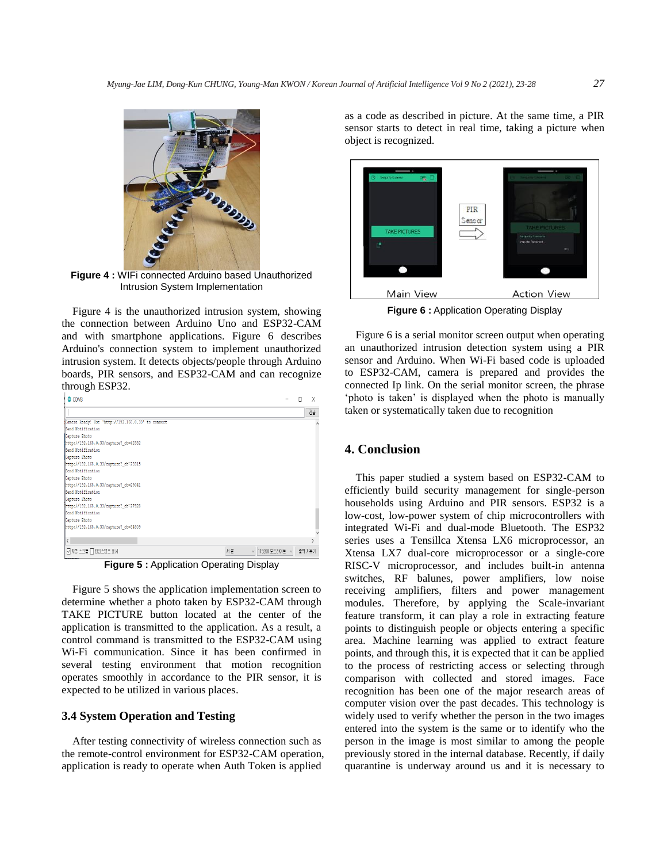

**Figure 4 :** WIFi connected Arduino based Unauthorized Intrusion System Implementation

Figure 4 is the unauthorized intrusion system, showing the connection between Arduino Uno and ESP32-CAM and with smartphone applications. Figure 6 describes Arduino's connection system to implement unauthorized intrusion system. It detects objects/people through Arduino boards, PIR sensors, and ESP32-CAM and can recognize through ESP32.

| COM3                                               |    |                  | п | X      |
|----------------------------------------------------|----|------------------|---|--------|
|                                                    |    |                  |   | 전송     |
| Camera Ready! Use 'http://192.168.0.33' to connect |    |                  |   |        |
| Send Notification                                  |    |                  |   |        |
| Capture Photo                                      |    |                  |   |        |
| http://192.168.0.33/capture? cb=42382              |    |                  |   |        |
| Send Notification                                  |    |                  |   |        |
| Capture Photo                                      |    |                  |   |        |
| http://192.168.0.33/capture? cb=23315              |    |                  |   |        |
| Send Notification                                  |    |                  |   |        |
| Capture Photo                                      |    |                  |   |        |
| http://192.168.0.33/capture? cb=29041              |    |                  |   |        |
| Send Notification                                  |    |                  |   |        |
| Capture Photo                                      |    |                  |   |        |
| http://192.168.0.33/capture? cb=27928              |    |                  |   |        |
| Send Notification                                  |    |                  |   |        |
| Capture Photo                                      |    |                  |   |        |
| http://192.168.0.33/capture? cb=34809              |    |                  |   |        |
| $\langle$                                          |    |                  |   |        |
| □ 자동 스크롤 □ 타임스탬프 표시                                | 세출 | ▽ 115200 보드레이트 ▽ |   | 출력 지우기 |

**Figure 5 :** Application Operating Display

Figure 5 shows the application implementation screen to determine whether a photo taken by ESP32-CAM through TAKE PICTURE button located at the center of the application is transmitted to the application. As a result, a control command is transmitted to the ESP32-CAM using Wi-Fi communication. Since it has been confirmed in several testing environment that motion recognition operates smoothly in accordance to the PIR sensor, it is expected to be utilized in various places.

# **3.4 System Operation and Testing**

After testing connectivity of wireless connection such as the remote-control environment for ESP32-CAM operation, application is ready to operate when Auth Token is applied as a code as described in picture. At the same time, a PIR sensor starts to detect in real time, taking a picture when object is recognized.



**Figure 6 :** Application Operating Display

Figure 6 is a serial monitor screen output when operating an unauthorized intrusion detection system using a PIR sensor and Arduino. When Wi-Fi based code is uploaded to ESP32-CAM, camera is prepared and provides the connected Ip link. On the serial monitor screen, the phrase 'photo is taken' is displayed when the photo is manually taken or systematically taken due to recognition

# **4. Conclusion**

This paper studied a system based on ESP32-CAM to efficiently build security management for single-person households using Arduino and PIR sensors. ESP32 is a low-cost, low-power system of chip microcontrollers with integrated Wi-Fi and dual-mode Bluetooth. The ESP32 series uses a Tensillca Xtensa LX6 microprocessor, an Xtensa LX7 dual-core microprocessor or a single-core RISC-V microprocessor, and includes built-in antenna switches, RF balunes, power amplifiers, low noise receiving amplifiers, filters and power management modules. Therefore, by applying the Scale-invariant feature transform, it can play a role in extracting feature points to distinguish people or objects entering a specific area. Machine learning was applied to extract feature points, and through this, it is expected that it can be applied to the process of restricting access or selecting through comparison with collected and stored images. Face recognition has been one of the major research areas of computer vision over the past decades. This technology is widely used to verify whether the person in the two images entered into the system is the same or to identify who the person in the image is most similar to among the people previously stored in the internal database. Recently, if daily quarantine is underway around us and it is necessary to